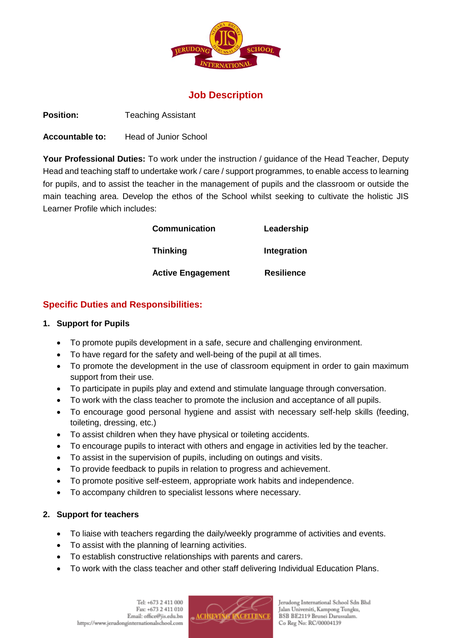

# **Job Description**

**Position:** Teaching Assistant

**Accountable to:** Head of Junior School

**Your Professional Duties:** To work under the instruction / guidance of the Head Teacher, Deputy Head and teaching staff to undertake work / care / support programmes, to enable access to learning for pupils, and to assist the teacher in the management of pupils and the classroom or outside the main teaching area. Develop the ethos of the School whilst seeking to cultivate the holistic JIS Learner Profile which includes:

| <b>Communication</b>     | Leadership        |
|--------------------------|-------------------|
| <b>Thinking</b>          | Integration       |
| <b>Active Engagement</b> | <b>Resilience</b> |

## **Specific Duties and Responsibilities:**

### **1. Support for Pupils**

- To promote pupils development in a safe, secure and challenging environment.
- To have regard for the safety and well-being of the pupil at all times.
- To promote the development in the use of classroom equipment in order to gain maximum support from their use.
- To participate in pupils play and extend and stimulate language through conversation.
- To work with the class teacher to promote the inclusion and acceptance of all pupils.
- To encourage good personal hygiene and assist with necessary self-help skills (feeding, toileting, dressing, etc.)
- To assist children when they have physical or toileting accidents.
- To encourage pupils to interact with others and engage in activities led by the teacher.
- To assist in the supervision of pupils, including on outings and visits.
- To provide feedback to pupils in relation to progress and achievement.
- To promote positive self-esteem, appropriate work habits and independence.
- To accompany children to specialist lessons where necessary.

### **2. Support for teachers**

- To liaise with teachers regarding the daily/weekly programme of activities and events.
- To assist with the planning of learning activities.
- To establish constructive relationships with parents and carers.
- To work with the class teacher and other staff delivering Individual Education Plans.



Jerudong International School Sdn Bhd Jalan Universiti, Kampong Tungku, BSB BE2119 Brunei Darussalam. Co Reg No: RC/00004139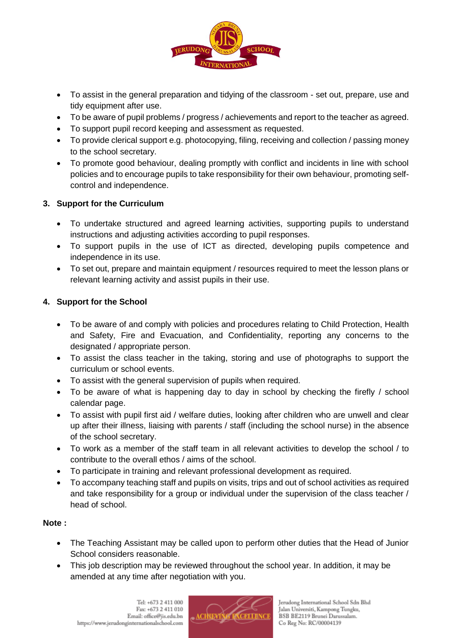

- To assist in the general preparation and tidying of the classroom set out, prepare, use and tidy equipment after use.
- To be aware of pupil problems / progress / achievements and report to the teacher as agreed.
- To support pupil record keeping and assessment as requested.
- To provide clerical support e.g. photocopying, filing, receiving and collection / passing money to the school secretary.
- To promote good behaviour, dealing promptly with conflict and incidents in line with school policies and to encourage pupils to take responsibility for their own behaviour, promoting selfcontrol and independence.

### **3. Support for the Curriculum**

- To undertake structured and agreed learning activities, supporting pupils to understand instructions and adjusting activities according to pupil responses.
- To support pupils in the use of ICT as directed, developing pupils competence and independence in its use.
- To set out, prepare and maintain equipment / resources required to meet the lesson plans or relevant learning activity and assist pupils in their use.

## **4. Support for the School**

- To be aware of and comply with policies and procedures relating to Child Protection, Health and Safety, Fire and Evacuation, and Confidentiality, reporting any concerns to the designated / appropriate person.
- To assist the class teacher in the taking, storing and use of photographs to support the curriculum or school events.
- To assist with the general supervision of pupils when required.
- To be aware of what is happening day to day in school by checking the firefly / school calendar page.
- To assist with pupil first aid / welfare duties, looking after children who are unwell and clear up after their illness, liaising with parents / staff (including the school nurse) in the absence of the school secretary.
- To work as a member of the staff team in all relevant activities to develop the school / to contribute to the overall ethos / aims of the school.
- To participate in training and relevant professional development as required.
- To accompany teaching staff and pupils on visits, trips and out of school activities as required and take responsibility for a group or individual under the supervision of the class teacher / head of school.

### **Note :**

- The Teaching Assistant may be called upon to perform other duties that the Head of Junior School considers reasonable.
- This job description may be reviewed throughout the school year. In addition, it may be amended at any time after negotiation with you.

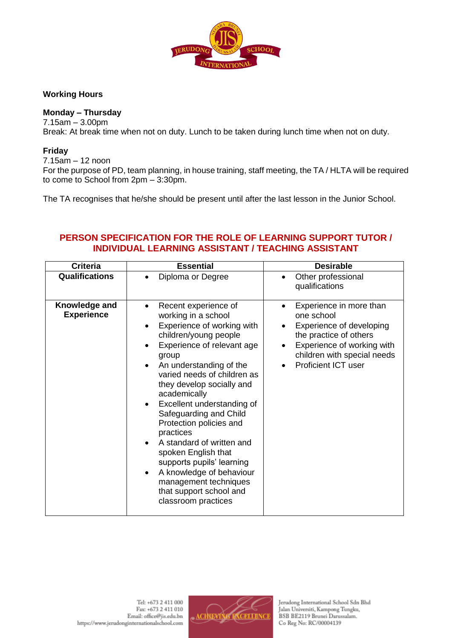

### **Working Hours**

### **Monday – Thursday**

7.15am – 3.00pm

Break: At break time when not on duty. Lunch to be taken during lunch time when not on duty.

#### **Friday**

7.15am – 12 noon

For the purpose of PD, team planning, in house training, staff meeting, the TA / HLTA will be required to come to School from 2pm – 3:30pm.

The TA recognises that he/she should be present until after the last lesson in the Junior School.

## **PERSON SPECIFICATION FOR THE ROLE OF LEARNING SUPPORT TUTOR / INDIVIDUAL LEARNING ASSISTANT / TEACHING ASSISTANT**

| <b>Criteria</b>                    | <b>Essential</b>                                                                                                                                                                                                                                                                                                                                                                                                                                                                                                                                                   | <b>Desirable</b>                                                                                                                                                                       |
|------------------------------------|--------------------------------------------------------------------------------------------------------------------------------------------------------------------------------------------------------------------------------------------------------------------------------------------------------------------------------------------------------------------------------------------------------------------------------------------------------------------------------------------------------------------------------------------------------------------|----------------------------------------------------------------------------------------------------------------------------------------------------------------------------------------|
| <b>Qualifications</b>              | Diploma or Degree                                                                                                                                                                                                                                                                                                                                                                                                                                                                                                                                                  | Other professional<br>qualifications                                                                                                                                                   |
| Knowledge and<br><b>Experience</b> | Recent experience of<br>working in a school<br>Experience of working with<br>$\bullet$<br>children/young people<br>Experience of relevant age<br>group<br>An understanding of the<br>varied needs of children as<br>they develop socially and<br>academically<br>Excellent understanding of<br>Safeguarding and Child<br>Protection policies and<br>practices<br>A standard of written and<br>spoken English that<br>supports pupils' learning<br>A knowledge of behaviour<br>$\bullet$<br>management techniques<br>that support school and<br>classroom practices | Experience in more than<br>one school<br>Experience of developing<br>the practice of others<br>Experience of working with<br>children with special needs<br><b>Proficient ICT user</b> |